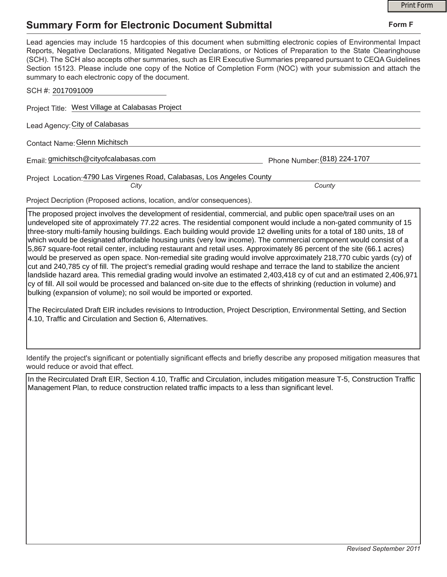## **Summary Form for Electronic Document Submittal**

|                                                                                                                                                                                                                                                                                                                                                                                                                                                                                                                                           |                              | <b>Print Form</b> |
|-------------------------------------------------------------------------------------------------------------------------------------------------------------------------------------------------------------------------------------------------------------------------------------------------------------------------------------------------------------------------------------------------------------------------------------------------------------------------------------------------------------------------------------------|------------------------------|-------------------|
| <b>Summary Form for Electronic Document Submittal</b>                                                                                                                                                                                                                                                                                                                                                                                                                                                                                     |                              | Form F            |
| Lead agencies may include 15 hardcopies of this document when submitting electronic copies of Environmental Impact<br>Reports, Negative Declarations, Mitigated Negative Declarations, or Notices of Preparation to the State Clearinghouse<br>(SCH). The SCH also accepts other summaries, such as EIR Executive Summaries prepared pursuant to CEQA Guidelines<br>Section 15123. Please include one copy of the Notice of Completion Form (NOC) with your submission and attach the<br>summary to each electronic copy of the document. |                              |                   |
| SCH #: 2017091009                                                                                                                                                                                                                                                                                                                                                                                                                                                                                                                         |                              |                   |
| Project Title: West Village at Calabasas Project                                                                                                                                                                                                                                                                                                                                                                                                                                                                                          |                              |                   |
| Lead Agency: City of Calabasas                                                                                                                                                                                                                                                                                                                                                                                                                                                                                                            |                              |                   |
| Contact Name: Glenn Michitsch                                                                                                                                                                                                                                                                                                                                                                                                                                                                                                             |                              |                   |
| Email: gmichitsch@cityofcalabasas.com                                                                                                                                                                                                                                                                                                                                                                                                                                                                                                     | Phone Number: (818) 224-1707 |                   |
| Project Location: 4790 Las Virgenes Road, Calabasas, Los Angeles County                                                                                                                                                                                                                                                                                                                                                                                                                                                                   |                              |                   |
| City                                                                                                                                                                                                                                                                                                                                                                                                                                                                                                                                      | County                       |                   |

Project Decription (Proposed actions, location, and/or consequences).

The proposed project involves the development of residential, commercial, and public open space/trail uses on an undeveloped site of approximately 77.22 acres. The residential component would include a non-gated community of 15 three-story multi-family housing buildings. Each building would provide 12 dwelling units for a total of 180 units, 18 of which would be designated affordable housing units (very low income). The commercial component would consist of a 5,867 square-foot retail center, including restaurant and retail uses. Approximately 86 percent of the site (66.1 acres) would be preserved as open space. Non-remedial site grading would involve approximately 218,770 cubic yards (cy) of cut and 240,785 cy of fill. The project's remedial grading would reshape and terrace the land to stabilize the ancient landslide hazard area. This remedial grading would involve an estimated 2,403,418 cy of cut and an estimated 2,406,971 cy of fill. All soil would be processed and balanced on-site due to the effects of shrinking (reduction in volume) and bulking (expansion of volume); no soil would be imported or exported.

The Recirculated Draft EIR includes revisions to Introduction, Project Description, Environmental Setting, and Section 4.10, Traffic and Circulation and Section 6, Alternatives.

Identify the project's significant or potentially significant effects and briefly describe any proposed mitigation measures that would reduce or avoid that effect.

In the Recirculated Draft EIR, Section 4.10, Traffic and Circulation, includes mitigation measure T-5, Construction Traffic Management Plan, to reduce construction related traffic impacts to a less than significant level.